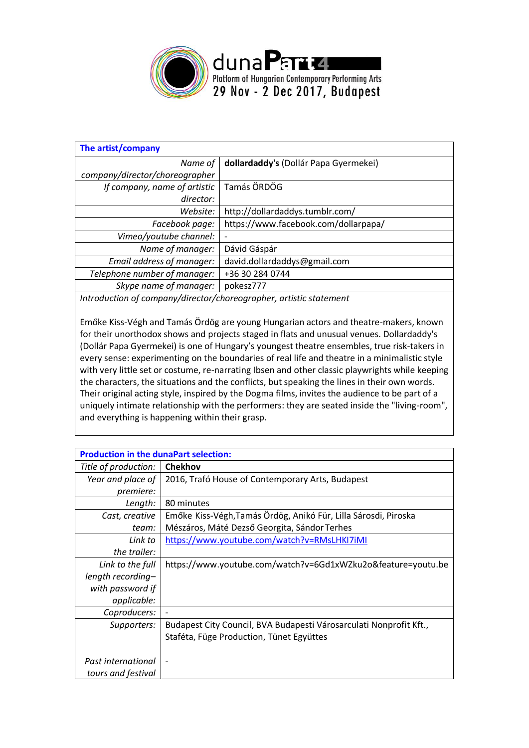

| The artist/company             |                                       |
|--------------------------------|---------------------------------------|
| Name of                        | dollardaddy's (Dollár Papa Gyermekei) |
| company/director/choreographer |                                       |
| If company, name of artistic   | Tamás ÖRDÖG                           |
| director:                      |                                       |
| Website:                       | http://dollardaddys.tumblr.com/       |
| Facebook page:                 | https://www.facebook.com/dollarpapa/  |
| Vimeo/youtube channel:         |                                       |
| Name of manager:               | Dávid Gáspár                          |
| Email address of manager:      | david.dollardaddys@gmail.com          |
| Telephone number of manager:   | +36 30 284 0744                       |
| Skype name of manager:         | pokesz777                             |
|                                |                                       |

*Introduction of company/director/choreographer, artistic statement*

Emőke Kiss-Végh and Tamás Ördög are young Hungarian actors and theatre-makers, known for their unorthodox shows and projects staged in flats and unusual venues. Dollardaddy's (Dollár Papa Gyermekei) is one of Hungary's youngest theatre ensembles, true risk-takers in every sense: experimenting on the boundaries of real life and theatre in a minimalistic style with very little set or costume, re-narrating Ibsen and other classic playwrights while keeping the characters, the situations and the conflicts, but speaking the lines in their own words. Their original acting style, inspired by the Dogma films, invites the audience to be part of a uniquely intimate relationship with the performers: they are seated inside the "living-room", and everything is happening within their grasp.

| <b>Production in the dunaPart selection:</b> |                                                                    |
|----------------------------------------------|--------------------------------------------------------------------|
| Title of production:                         | <b>Chekhov</b>                                                     |
| Year and place of<br>premiere:               | 2016, Trafó House of Contemporary Arts, Budapest                   |
| Length:                                      | 80 minutes                                                         |
| Cast, creative                               | Emőke Kiss-Végh, Tamás Ördög, Anikó Für, Lilla Sárosdi, Piroska    |
| team:                                        | Mészáros, Máté Dezső Georgita, Sándor Terhes                       |
| Link to                                      | https://www.youtube.com/watch?v=RMsLHKI7iMI                        |
| the trailer:                                 |                                                                    |
| Link to the full                             | https://www.youtube.com/watch?v=6Gd1xWZku2o&feature=youtu.be       |
| length recording-                            |                                                                    |
| with password if                             |                                                                    |
| applicable:                                  |                                                                    |
| Coproducers:                                 |                                                                    |
| Supporters:                                  | Budapest City Council, BVA Budapesti Városarculati Nonprofit Kft., |
|                                              | Staféta, Füge Production, Tünet Együttes                           |
| Past international                           |                                                                    |
| tours and festival                           |                                                                    |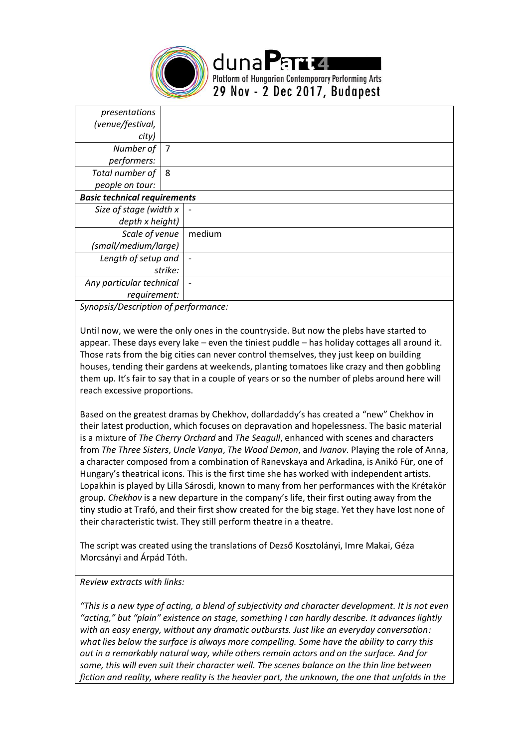

| presentations                       |         |        |
|-------------------------------------|---------|--------|
| (venue/festival,                    |         |        |
| city)                               |         |        |
| Number of                           | 7       |        |
| performers:                         |         |        |
| Total number of                     | 8       |        |
| people on tour:                     |         |        |
| <b>Basic technical requirements</b> |         |        |
| Size of stage (width x              |         |        |
| depth x height)                     |         |        |
| Scale of venue                      |         | medium |
| (small/medium/large)                |         |        |
| Length of setup and                 |         |        |
|                                     | strike: |        |
| Any particular technical            |         |        |
| requirement:                        |         |        |
| $\overline{\phantom{a}}$            |         |        |

*Synopsis/Description of performance:*

Until now, we were the only ones in the countryside. But now the plebs have started to appear. These days every lake – even the tiniest puddle – has holiday cottages all around it. Those rats from the big cities can never control themselves, they just keep on building houses, tending their gardens at weekends, planting tomatoes like crazy and then gobbling them up. It's fair to say that in a couple of years or so the number of plebs around here will reach excessive proportions.

Based on the greatest dramas by Chekhov, dollardaddy's has created a "new" Chekhov in their latest production, which focuses on depravation and hopelessness. The basic material is a mixture of *The Cherry Orchard* and *The Seagull*, enhanced with scenes and characters from *The Three Sisters*, *Uncle Vanya*, *The Wood Demon*, and *Ivanov*. Playing the role of Anna, a character composed from a combination of Ranevskaya and Arkadina, is Anikó Für, one of Hungary's theatrical icons. This is the first time she has worked with independent artists. Lopakhin is played by Lilla Sárosdi, known to many from her performances with the Krétakör group. *Chekhov* is a new departure in the company's life, their first outing away from the tiny studio at Trafó, and their first show created for the big stage. Yet they have lost none of their characteristic twist. They still perform theatre in a theatre.

The script was created using the translations of Dezső Kosztolányi, Imre Makai, Géza Morcsányi and Árpád Tóth.

## *Review extracts with links:*

*"This is a new type of acting, a blend of subjectivity and character development. It is not even "acting," but "plain" existence on stage, something I can hardly describe. It advances lightly with an easy energy, without any dramatic outbursts. Just like an everyday conversation: what lies below the surface is always more compelling. Some have the ability to carry this out in a remarkably natural way, while others remain actors and on the surface. And for some, this will even suit their character well. The scenes balance on the thin line between fiction and reality, where reality is the heavier part, the unknown, the one that unfolds in the*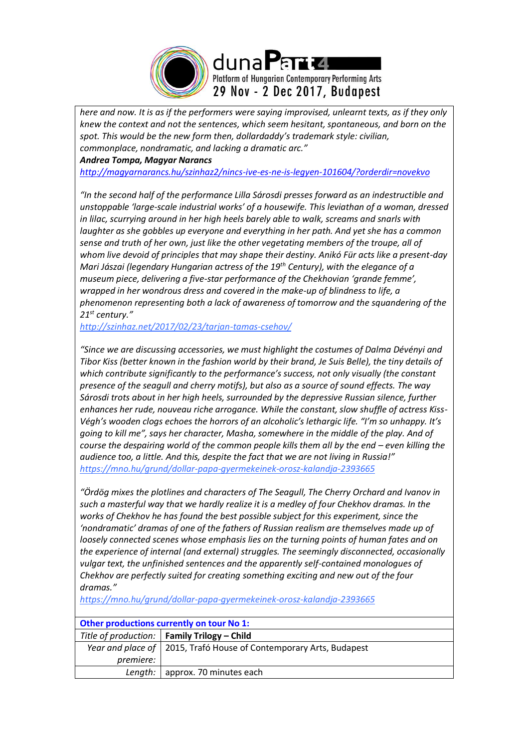

*here and now. It is as if the performers were saying improvised, unlearnt texts, as if they only knew the context and not the sentences, which seem hesitant, spontaneous, and born on the spot. This would be the new form then, dollardaddy's trademark style: civilian, commonplace, nondramatic, and lacking a dramatic arc."*

*Andrea Tompa, Magyar Narancs*

*<http://magyarnarancs.hu/szinhaz2/nincs-ive-es-ne-is-legyen-101604/?orderdir=novekvo>*

*"In the second half of the performance Lilla Sárosdi presses forward as an indestructible and unstoppable 'large-scale industrial works' of a housewife. This leviathan of a woman, dressed in lilac, scurrying around in her high heels barely able to walk, screams and snarls with laughter as she gobbles up everyone and everything in her path. And yet she has a common sense and truth of her own, just like the other vegetating members of the troupe, all of whom live devoid of principles that may shape their destiny. Anikó Für acts like a present-day Mari Jászai (legendary Hungarian actress of the 19th Century), with the elegance of a museum piece, delivering a five-star performance of the Chekhovian 'grande femme', wrapped in her wondrous dress and covered in the make-up of blindness to life, a phenomenon representing both a lack of awareness of tomorrow and the squandering of the 21st century."*

*<http://szinhaz.net/2017/02/23/tarjan-tamas-csehov/>*

*"Since we are discussing accessories, we must highlight the costumes of Dalma Dévényi and Tibor Kiss (better known in the fashion world by their brand, Je Suis Belle), the tiny details of which contribute significantly to the performance's success, not only visually (the constant presence of the seagull and cherry motifs), but also as a source of sound effects. The way Sárosdi trots about in her high heels, surrounded by the depressive Russian silence, further enhances her rude, nouveau riche arrogance. While the constant, slow shuffle of actress Kiss-Végh's wooden clogs echoes the horrors of an alcoholic's lethargic life. "I'm so unhappy. It's going to kill me", says her character, Masha, somewhere in the middle of the play. And of course the despairing world of the common people kills them all by the end – even killing the audience too, a little. And this, despite the fact that we are not living in Russia!" <https://mno.hu/grund/dollar-papa-gyermekeinek-orosz-kalandja-2393665>*

*"Ördög mixes the plotlines and characters of The Seagull, The Cherry Orchard and Ivanov in such a masterful way that we hardly realize it is a medley of four Chekhov dramas. In the works of Chekhov he has found the best possible subject for this experiment, since the 'nondramatic' dramas of one of the fathers of Russian realism are themselves made up of loosely connected scenes whose emphasis lies on the turning points of human fates and on the experience of internal (and external) struggles. The seemingly disconnected, occasionally vulgar text, the unfinished sentences and the apparently self-contained monologues of Chekhov are perfectly suited for creating something exciting and new out of the four dramas."*

*<https://mno.hu/grund/dollar-papa-gyermekeinek-orosz-kalandja-2393665>*

| <b>Other productions currently on tour No 1:</b> |                                                                      |  |
|--------------------------------------------------|----------------------------------------------------------------------|--|
|                                                  | Title of production:   Family Trilogy – Child                        |  |
|                                                  | Year and place of   2015, Trafó House of Contemporary Arts, Budapest |  |
| <i>premiere:</i>                                 |                                                                      |  |
|                                                  | Length:   approx. 70 minutes each                                    |  |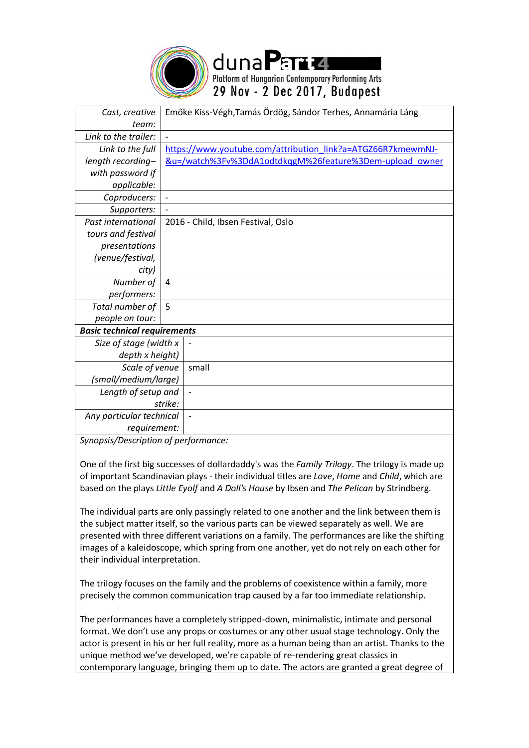

duna Partu Platform of Hungarian Contemporary Performing Arts 29 Nov - 2 Dec 2017, Budapest

| Cast, creative                      |         | Emőke Kiss-Végh, Tamás Ördög, Sándor Terhes, Annamária Láng |
|-------------------------------------|---------|-------------------------------------------------------------|
| team:                               |         |                                                             |
| Link to the trailer:                |         |                                                             |
| Link to the full                    |         | https://www.youtube.com/attribution link?a=ATGZ66R7kmewmNJ- |
| length recording-                   |         | &u=/watch%3Fv%3DdA1odtdkqgM%26feature%3Dem-upload owner     |
| with password if                    |         |                                                             |
| applicable:                         |         |                                                             |
| Coproducers:                        |         |                                                             |
| Supporters:                         |         |                                                             |
| Past international                  |         | 2016 - Child, Ibsen Festival, Oslo                          |
| tours and festival                  |         |                                                             |
| presentations                       |         |                                                             |
| (venue/festival,                    |         |                                                             |
| city)                               |         |                                                             |
| Number of                           | 4       |                                                             |
| performers:                         |         |                                                             |
| Total number of                     | 5       |                                                             |
| people on tour:                     |         |                                                             |
| <b>Basic technical requirements</b> |         |                                                             |
| Size of stage (width x              |         |                                                             |
| depth x height)                     |         |                                                             |
| Scale of venue                      |         | small                                                       |
| (small/medium/large)                |         |                                                             |
| Length of setup and                 |         | $\overline{\phantom{a}}$                                    |
|                                     | strike: |                                                             |
| Any particular technical            |         |                                                             |
| requirement:                        |         |                                                             |

*Synopsis/Description of performance:*

One of the first big successes of dollardaddy's was the *Family Trilogy*. The trilogy is made up of important Scandinavian plays - their individual titles are *Love*, *Home* and *Child*, which are based on the plays *Little Eyolf* and *A Doll's House* by Ibsen and *The Pelican* by Strindberg.

The individual parts are only passingly related to one another and the link between them is the subject matter itself, so the various parts can be viewed separately as well. We are presented with three different variations on a family. The performances are like the shifting images of a kaleidoscope, which spring from one another, yet do not rely on each other for their individual interpretation.

The trilogy focuses on the family and the problems of coexistence within a family, more precisely the common communication trap caused by a far too immediate relationship.

The performances have a completely stripped-down, minimalistic, intimate and personal format. We don't use any props or costumes or any other usual stage technology. Only the actor is present in his or her full reality, more as a human being than an artist. Thanks to the unique method we've developed, we're capable of re-rendering great classics in contemporary language, bringing them up to date. The actors are granted a great degree of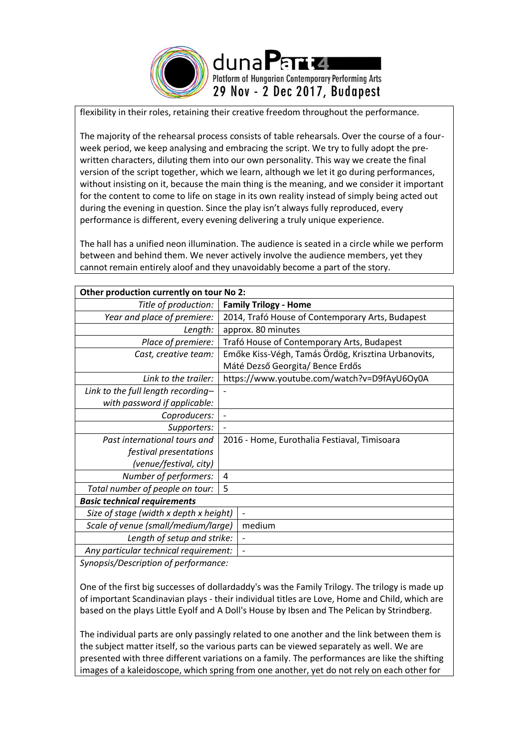

flexibility in their roles, retaining their creative freedom throughout the performance.

The majority of the rehearsal process consists of table rehearsals. Over the course of a fourweek period, we keep analysing and embracing the script. We try to fully adopt the prewritten characters, diluting them into our own personality. This way we create the final version of the script together, which we learn, although we let it go during performances, without insisting on it, because the main thing is the meaning, and we consider it important for the content to come to life on stage in its own reality instead of simply being acted out during the evening in question. Since the play isn't always fully reproduced, every performance is different, every evening delivering a truly unique experience.

The hall has a unified neon illumination. The audience is seated in a circle while we perform between and behind them. We never actively involve the audience members, yet they cannot remain entirely aloof and they unavoidably become a part of the story.

| Other production currently on tour No 2: |                                                     |  |
|------------------------------------------|-----------------------------------------------------|--|
| Title of production:                     | <b>Family Trilogy - Home</b>                        |  |
| Year and place of premiere:              | 2014, Trafó House of Contemporary Arts, Budapest    |  |
| Length:                                  | approx. 80 minutes                                  |  |
| Place of premiere:                       | Trafó House of Contemporary Arts, Budapest          |  |
| Cast, creative team:                     | Emőke Kiss-Végh, Tamás Ördög, Krisztina Urbanovits, |  |
|                                          | Máté Dezső Georgita/Bence Erdős                     |  |
| Link to the trailer:                     | https://www.youtube.com/watch?v=D9fAyU6Oy0A         |  |
| Link to the full length recording-       |                                                     |  |
| with password if applicable:             |                                                     |  |
| Coproducers:                             |                                                     |  |
| Supporters:                              |                                                     |  |
| Past international tours and             | 2016 - Home, Eurothalia Festiaval, Timisoara        |  |
| festival presentations                   |                                                     |  |
| (venue/festival, city)                   |                                                     |  |
| Number of performers:                    | 4                                                   |  |
| Total number of people on tour:          | 5                                                   |  |
| <b>Basic technical requirements</b>      |                                                     |  |
| Size of stage (width x depth x height)   |                                                     |  |
| Scale of venue (small/medium/large)      | medium                                              |  |
| Length of setup and strike:              | $\overline{\phantom{a}}$                            |  |
| Any particular technical requirement:    |                                                     |  |
|                                          |                                                     |  |

*Synopsis/Description of performance:*

One of the first big successes of dollardaddy's was the Family Trilogy. The trilogy is made up of important Scandinavian plays - their individual titles are Love, Home and Child, which are based on the plays Little Eyolf and A Doll's House by Ibsen and The Pelican by Strindberg.

The individual parts are only passingly related to one another and the link between them is the subject matter itself, so the various parts can be viewed separately as well. We are presented with three different variations on a family. The performances are like the shifting images of a kaleidoscope, which spring from one another, yet do not rely on each other for